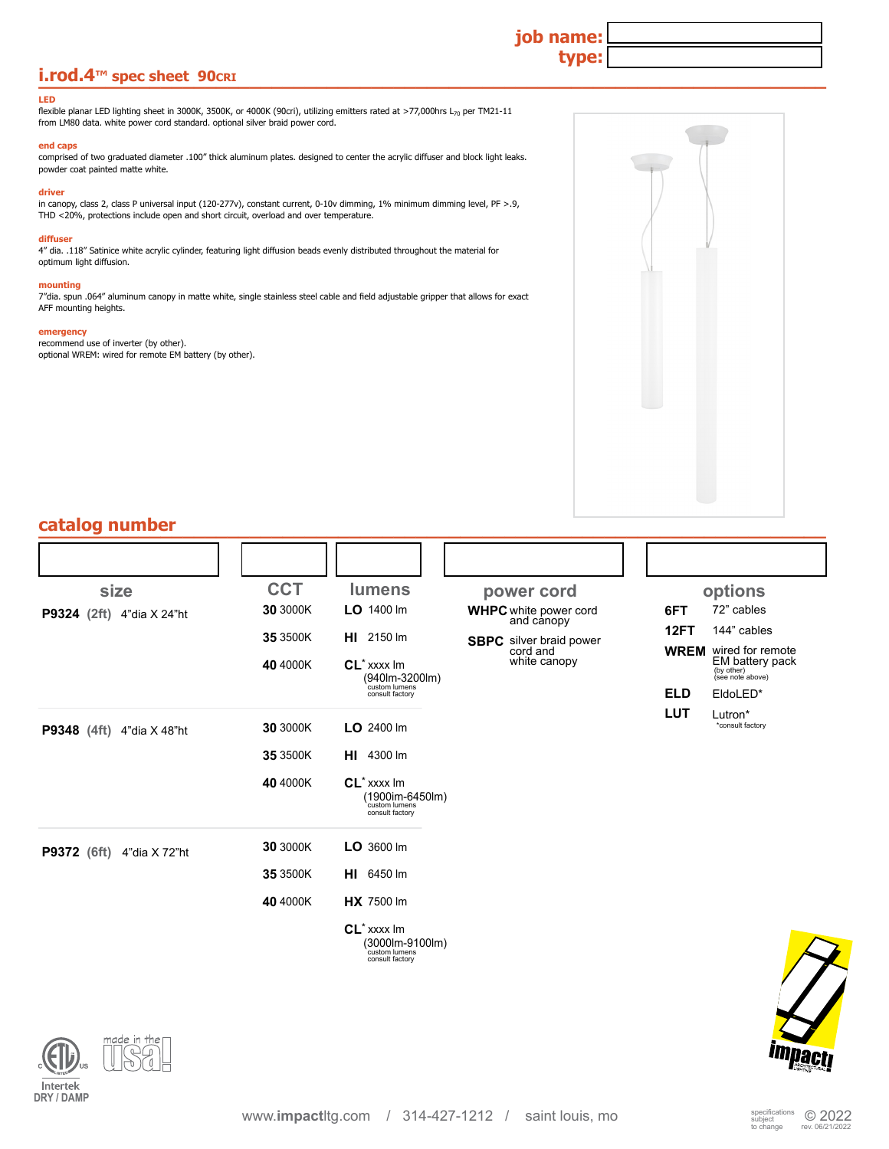## **i.rod.4™ spec sheet 90cRI**

#### **LED**

flexible planar LED lighting sheet in 3000K, 3500K, or 4000K (90cri), utilizing emitters rated at >77,000hrs L<sub>70</sub> per TM21-11 from LM80 data. white power cord standard. optional silver braid power cord.

#### **end caps**

comprised of two graduated diameter .100" thick aluminum plates. designed to center the acrylic diffuser and block light leaks. powder coat painted matte white.

#### **driver**

in canopy, class 2, class P universal input (120-277v), constant current, 0-10v dimming, 1% minimum dimming level, PF >.9, THD <20%, protections include open and short circuit, overload and over temperature.

### **diffuser**

4" dia. .118" Satinice white acrylic cylinder, featuring light diffusion beads evenly distributed throughout the material for optimum light diffusion.

#### **mounting**

7"dia. spun .064" aluminum canopy in matte white, single stainless steel cable and field adjustable gripper that allows for exact AFF mounting heights.

### **emergency**

recommend use of inverter (by other). optional WREM: wired for remote EM battery (by other).



**job name:**

**type:**

| size                                | <b>CCT</b> | <b>lumens</b>                                                                                   | power cord                                 | options                                                                             |
|-------------------------------------|------------|-------------------------------------------------------------------------------------------------|--------------------------------------------|-------------------------------------------------------------------------------------|
| P9324 (2ft) 4"dia X 24"ht           | 30 3000K   | LO 1400 Im                                                                                      | <b>WHPC</b> white power cord<br>and canopy | 72" cables<br>6FT                                                                   |
|                                     | 35 3500K   | <b>HI</b> 2150 Im                                                                               | <b>SBPC</b> silver braid power             | 12FT<br>144" cables                                                                 |
|                                     | 40 4000K   | CL <sup>*</sup> xxxx lm<br>(940lm-3200lm)                                                       | cord and<br>white canopy                   | <b>WREM</b> wired for remote<br>EM battery pack<br>$(b)$ other)<br>(see note above) |
|                                     |            | custom lumens<br>consult factory                                                                |                                            | <b>ELD</b><br>EldoLED*                                                              |
| P9348 (4ft) 4"dia X 48"ht           | 30 3000K   | $LO$ 2400 lm                                                                                    |                                            | <b>LUT</b><br>Lutron*<br>*consult factory                                           |
|                                     | 35 3500K   | <b>HI</b> 4300 lm                                                                               |                                            |                                                                                     |
|                                     | 40 4000K   | $CL^*$ xxxx $Im$<br>$(1900im-6450lm)$ custom lumens<br>consult factory                          |                                            |                                                                                     |
| <b>P9372</b> (6ft)<br>4"dia X 72"ht | 30 3000K   | $LO$ 3600 lm                                                                                    |                                            |                                                                                     |
|                                     | 35 3500K   | <b>HI</b> 6450 lm                                                                               |                                            |                                                                                     |
|                                     | 40 4000K   | <b>HX</b> 7500 lm                                                                               |                                            |                                                                                     |
|                                     |            | CL <sup>*</sup> xxxx lm<br>$(3000 \text{lm} - 9100 \text{lm})$ custom lumens<br>consult factory |                                            |                                                                                     |

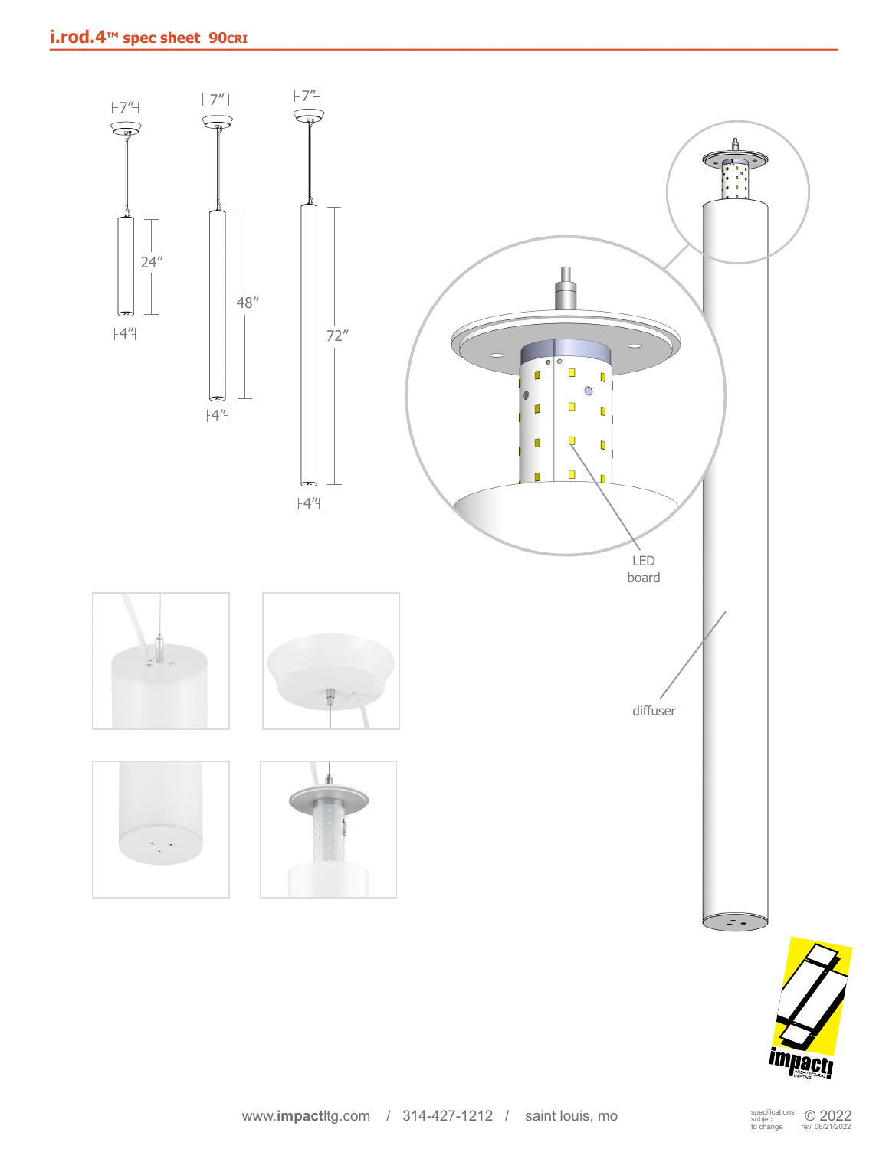